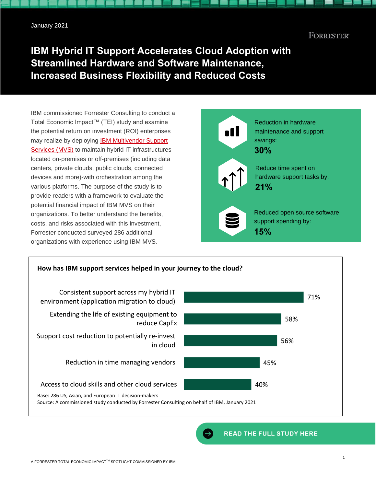# **FORRESTER®**

# **IBM Hybrid IT Support Accelerates Cloud Adoption with Streamlined Hardware and Software Maintenance, Increased Business Flexibility and Reduced Costs**

IBM commissioned Forrester Consulting to conduct a Total Economic Impact™ (TEI) study and examine the potential return on investment (ROI) enterprises may realize by deploying [IBM Multivendor Support](https://www.ibm.com/services/technology-support)  [Services](https://www.ibm.com/services/technology-support) (MVS) to maintain hybrid IT infrastructures located on-premises or off-premises (including data centers, private clouds, public clouds, connected devices and more)-with orchestration among the various platforms. The purpose of the study is to provide readers with a framework to evaluate the potential financial impact of IBM MVS on their organizations. To better understand the benefits, costs, and risks associated with this investment, Forrester conducted surveyed 286 additional organizations with experience using IBM MVS.



# **How has IBM support services helped in your journey to the cloud?** 71% 58% 56% 45% 40% Consistent support across my hybrid IT environment (application migration to cloud) Extending the life of existing equipment to reduce CapEx Support cost reduction to potentially re-invest in cloud Reduction in time managing vendors Access to cloud skills and other cloud services Base: 286 US, Asian, and European IT decision-makers Source: A commissioned study conducted by Forrester Consulting on behalf of IBM, January 2021

**READ THE FULL STUDY HERE**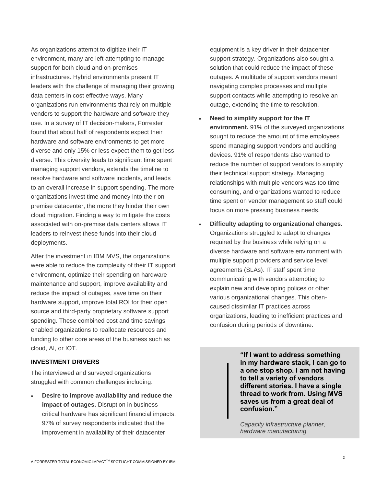As organizations attempt to digitize their IT environment, many are left attempting to manage support for both cloud and on-premises infrastructures. Hybrid environments present IT leaders with the challenge of managing their growing data centers in cost effective ways. Many organizations run environments that rely on multiple vendors to support the hardware and software they use. In a survey of IT decision-makers, Forrester found that about half of respondents expect their hardware and software environments to get more diverse and only 15% or less expect them to get less diverse. This diversity leads to significant time spent managing support vendors, extends the timeline to resolve hardware and software incidents, and leads to an overall increase in support spending. The more organizations invest time and money into their onpremise datacenter, the more they hinder their own cloud migration. Finding a way to mitigate the costs associated with on-premise data centers allows IT leaders to reinvest these funds into their cloud deployments.

After the investment in IBM MVS, the organizations were able to reduce the complexity of their IT support environment, optimize their spending on hardware maintenance and support, improve availability and reduce the impact of outages, save time on their hardware support, improve total ROI for their open source and third-party proprietary software support spending. These combined cost and time savings enabled organizations to reallocate resources and funding to other core areas of the business such as cloud, AI, or IOT.

## **INVESTMENT DRIVERS**

The interviewed and surveyed organizations struggled with common challenges including:

• **Desire to improve availability and reduce the impact of outages.** Disruption in businesscritical hardware has significant financial impacts. 97% of survey respondents indicated that the improvement in availability of their datacenter

equipment is a key driver in their datacenter support strategy. Organizations also sought a solution that could reduce the impact of these outages. A multitude of support vendors meant navigating complex processes and multiple support contacts while attempting to resolve an outage, extending the time to resolution.

- **Need to simplify support for the IT environment.** 91% of the surveyed organizations sought to reduce the amount of time employees spend managing support vendors and auditing devices. 91% of respondents also wanted to reduce the number of support vendors to simplify their technical support strategy. Managing relationships with multiple vendors was too time consuming, and organizations wanted to reduce time spent on vendor management so staff could focus on more pressing business needs.
- **Difficulty adapting to organizational changes.** Organizations struggled to adapt to changes required by the business while relying on a diverse hardware and software environment with multiple support providers and service level agreements (SLAs). IT staff spent time communicating with vendors attempting to explain new and developing polices or other various organizational changes. This oftencaused dissimilar IT practices across organizations, leading to inefficient practices and confusion during periods of downtime.

**"If I want to address something in my hardware stack, I can go to a one stop shop. I am not having to tell a variety of vendors different stories. I have a single thread to work from. Using MVS saves us from a great deal of confusion."** 

*Capacity infrastructure planner, hardware manufacturing*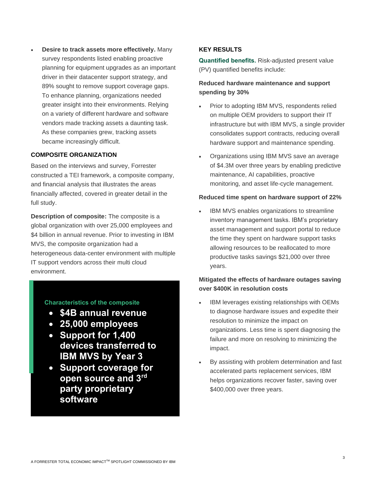• **Desire to track assets more effectively.** Many survey respondents listed enabling proactive planning for equipment upgrades as an important driver in their datacenter support strategy, and 89% sought to remove support coverage gaps. To enhance planning, organizations needed greater insight into their environments. Relying on a variety of different hardware and software vendors made tracking assets a daunting task. As these companies grew, tracking assets became increasingly difficult.

#### **COMPOSITE ORGANIZATION**

Based on the interviews and survey, Forrester constructed a TEI framework, a composite company, and financial analysis that illustrates the areas financially affected, covered in greater detail in the full study.

**Description of composite:** The composite is a global organization with over 25,000 employees and \$4 billion in annual revenue. Prior to investing in IBM MVS, the composite organization had a heterogeneous data-center environment with multiple IT support vendors across their multi cloud environment.

### **Characteristics of the composite**

- **\$4B annual revenue**
- **25,000 employees**
- **Support for 1,400 devices transferred to IBM MVS by Year 3**
- **Support coverage for open source and 3rd party proprietary software**

# **KEY RESULTS**

**Quantified benefits.** Risk-adjusted present value (PV) quantified benefits include:

# **Reduced hardware maintenance and support spending by 30%**

- Prior to adopting IBM MVS, respondents relied on multiple OEM providers to support their IT infrastructure but with IBM MVS, a single provider consolidates support contracts, reducing overall hardware support and maintenance spending.
- Organizations using IBM MVS save an average of \$4.3M over three years by enabling predictive maintenance, AI capabilities, proactive monitoring, and asset life-cycle management.

#### **Reduced time spent on hardware support of 22%**

IBM MVS enables organizations to streamline inventory management tasks. IBM's proprietary asset management and support portal to reduce the time they spent on hardware support tasks allowing resources to be reallocated to more productive tasks savings \$21,000 over three years.

# **Mitigated the effects of hardware outages saving over \$400K in resolution costs**

- IBM leverages existing relationships with OEMs to diagnose hardware issues and expedite their resolution to minimize the impact on organizations. Less time is spent diagnosing the failure and more on resolving to minimizing the impact.
- By assisting with problem determination and fast accelerated parts replacement services, IBM helps organizations recover faster, saving over \$400,000 over three years.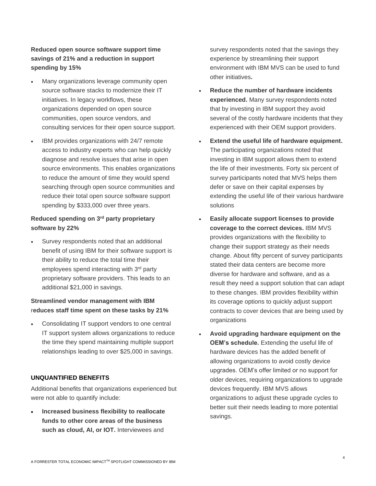**Reduced open source software support time savings of 21% and a reduction in support spending by 15%**

- Many organizations leverage community open source software stacks to modernize their IT initiatives. In legacy workflows, these organizations depended on open source communities, open source vendors, and consulting services for their open source support.
- IBM provides organizations with 24/7 remote access to industry experts who can help quickly diagnose and resolve issues that arise in open source environments. This enables organizations to reduce the amount of time they would spend searching through open source communities and reduce their total open source software support spending by \$333,000 over three years.

# **Reduced spending on 3 rd party proprietary software by 22%**

Survey respondents noted that an additional benefit of using IBM for their software support is their ability to reduce the total time their employees spend interacting with 3<sup>rd</sup> party proprietary software providers. This leads to an additional \$21,000 in savings.

# **Streamlined vendor management with IBM** r**educes staff time spent on these tasks by 21%**

Consolidating IT support vendors to one central IT support system allows organizations to reduce the time they spend maintaining multiple support relationships leading to over \$25,000 in savings.

# **UNQUANTIFIED BENEFITS**

Additional benefits that organizations experienced but were not able to quantify include:

• **Increased business flexibility to reallocate funds to other core areas of the business such as cloud, AI, or IOT.** Interviewees and

survey respondents noted that the savings they experience by streamlining their support environment with IBM MVS can be used to fund other initiatives**.**

- **Reduce the number of hardware incidents experienced.** Many survey respondents noted that by investing in IBM support they avoid several of the costly hardware incidents that they experienced with their OEM support providers.
- **Extend the useful life of hardware equipment.** The participating organizations noted that investing in IBM support allows them to extend the life of their investments. Forty six percent of survey participants noted that MVS helps them defer or save on their capital expenses by extending the useful life of their various hardware solutions
- **Easily allocate support licenses to provide coverage to the correct devices.** IBM MVS provides organizations with the flexibility to change their support strategy as their needs change. About fifty percent of survey participants stated their data centers are become more diverse for hardware and software, and as a result they need a support solution that can adapt to these changes. IBM provides flexibility within its coverage options to quickly adjust support contracts to cover devices that are being used by organizations
- **Avoid upgrading hardware equipment on the OEM's schedule.** Extending the useful life of hardware devices has the added benefit of allowing organizations to avoid costly device upgrades. OEM's offer limited or no support for older devices, requiring organizations to upgrade devices frequently. IBM MVS allows organizations to adjust these upgrade cycles to better suit their needs leading to more potential savings.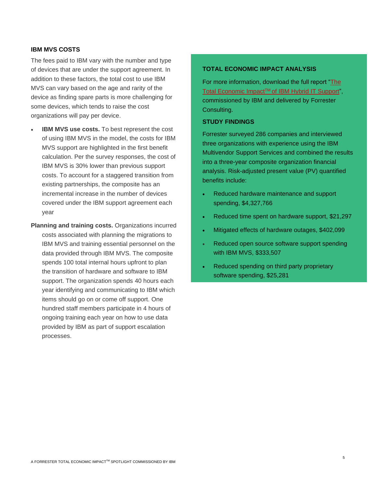### **IBM MVS COSTS**

The fees paid to IBM vary with the number and type of devices that are under the support agreement. In addition to these factors, the total cost to use IBM MVS can vary based on the age and rarity of the device as finding spare parts is more challenging for some devices, which tends to raise the cost organizations will pay per device.

- **IBM MVS use costs.** To best represent the cost of using IBM MVS in the model, the costs for IBM MVS support are highlighted in the first benefit calculation. Per the survey responses, the cost of IBM MVS is 30% lower than previous support costs. To account for a staggered transition from existing partnerships, the composite has an incremental increase in the number of devices covered under the IBM support agreement each year
- **Planning and training costs.** Organizations incurred costs associated with planning the migrations to IBM MVS and training essential personnel on the data provided through IBM MVS. The composite spends 100 total internal hours upfront to plan the transition of hardware and software to IBM support. The organization spends 40 hours each year identifying and communicating to IBM which items should go on or come off support. One hundred staff members participate in 4 hours of ongoing training each year on how to use data provided by IBM as part of support escalation processes.

#### **TOTAL ECONOMIC IMPACT ANALYSIS**

For more information, download the full report ["The](https://www.ibm.com/downloads/cas/JGKAWQAO)  Total Economic Impact<sup>™</sup> [of IBM Hybrid IT Support"](https://www.ibm.com/downloads/cas/JGKAWQAO), commissioned by IBM and delivered by Forrester Consulting.

# **STUDY FINDINGS**

Forrester surveyed 286 companies and interviewed three organizations with experience using the IBM Multivendor Support Services and combined the results into a three-year composite organization financial analysis. Risk-adjusted present value (PV) quantified benefits include:

- Reduced hardware maintenance and support spending, \$4,327,766
- Reduced time spent on hardware support, \$21,297
- Mitigated effects of hardware outages, \$402,099
- Reduced open source software support spending with IBM MVS, \$333,507
- Reduced spending on third party proprietary software spending, \$25,281